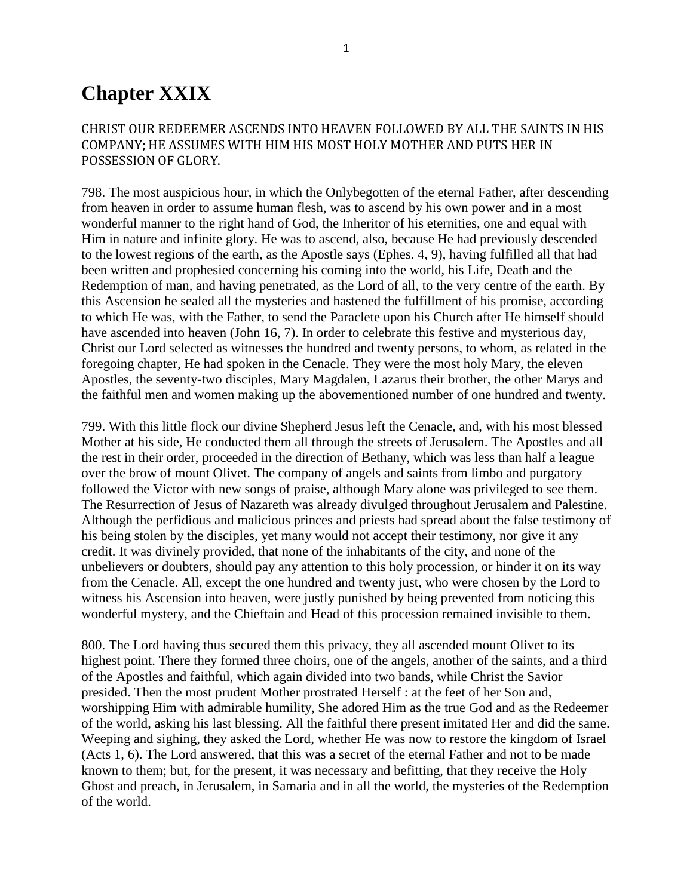## **Chapter XXIX**

CHRIST OUR REDEEMER ASCENDS INTO HEAVEN FOLLOWED BY ALL THE SAINTS IN HIS COMPANY; HE ASSUMES WITH HIM HIS MOST HOLY MOTHER AND PUTS HER IN POSSESSION OF GLORY.

798. The most auspicious hour, in which the Onlybegotten of the eternal Father, after descending from heaven in order to assume human flesh, was to ascend by his own power and in a most wonderful manner to the right hand of God, the Inheritor of his eternities, one and equal with Him in nature and infinite glory. He was to ascend, also, because He had previously descended to the lowest regions of the earth, as the Apostle says (Ephes. 4, 9), having fulfilled all that had been written and prophesied concerning his coming into the world, his Life, Death and the Redemption of man, and having penetrated, as the Lord of all, to the very centre of the earth. By this Ascension he sealed all the mysteries and hastened the fulfillment of his promise, according to which He was, with the Father, to send the Paraclete upon his Church after He himself should have ascended into heaven (John 16, 7). In order to celebrate this festive and mysterious day, Christ our Lord selected as witnesses the hundred and twenty persons, to whom, as related in the foregoing chapter, He had spoken in the Cenacle. They were the most holy Mary, the eleven Apostles, the seventy-two disciples, Mary Magdalen, Lazarus their brother, the other Marys and the faithful men and women making up the abovementioned number of one hundred and twenty.

799. With this little flock our divine Shepherd Jesus left the Cenacle, and, with his most blessed Mother at his side, He conducted them all through the streets of Jerusalem. The Apostles and all the rest in their order, proceeded in the direction of Bethany, which was less than half a league over the brow of mount Olivet. The company of angels and saints from limbo and purgatory followed the Victor with new songs of praise, although Mary alone was privileged to see them. The Resurrection of Jesus of Nazareth was already divulged throughout Jerusalem and Palestine. Although the perfidious and malicious princes and priests had spread about the false testimony of his being stolen by the disciples, yet many would not accept their testimony, nor give it any credit. It was divinely provided, that none of the inhabitants of the city, and none of the unbelievers or doubters, should pay any attention to this holy procession, or hinder it on its way from the Cenacle. All, except the one hundred and twenty just, who were chosen by the Lord to witness his Ascension into heaven, were justly punished by being prevented from noticing this wonderful mystery, and the Chieftain and Head of this procession remained invisible to them.

800. The Lord having thus secured them this privacy, they all ascended mount Olivet to its highest point. There they formed three choirs, one of the angels, another of the saints, and a third of the Apostles and faithful, which again divided into two bands, while Christ the Savior presided. Then the most prudent Mother prostrated Herself : at the feet of her Son and, worshipping Him with admirable humility, She adored Him as the true God and as the Redeemer of the world, asking his last blessing. All the faithful there present imitated Her and did the same. Weeping and sighing, they asked the Lord, whether He was now to restore the kingdom of Israel (Acts 1, 6). The Lord answered, that this was a secret of the eternal Father and not to be made known to them; but, for the present, it was necessary and befitting, that they receive the Holy Ghost and preach, in Jerusalem, in Samaria and in all the world, the mysteries of the Redemption of the world.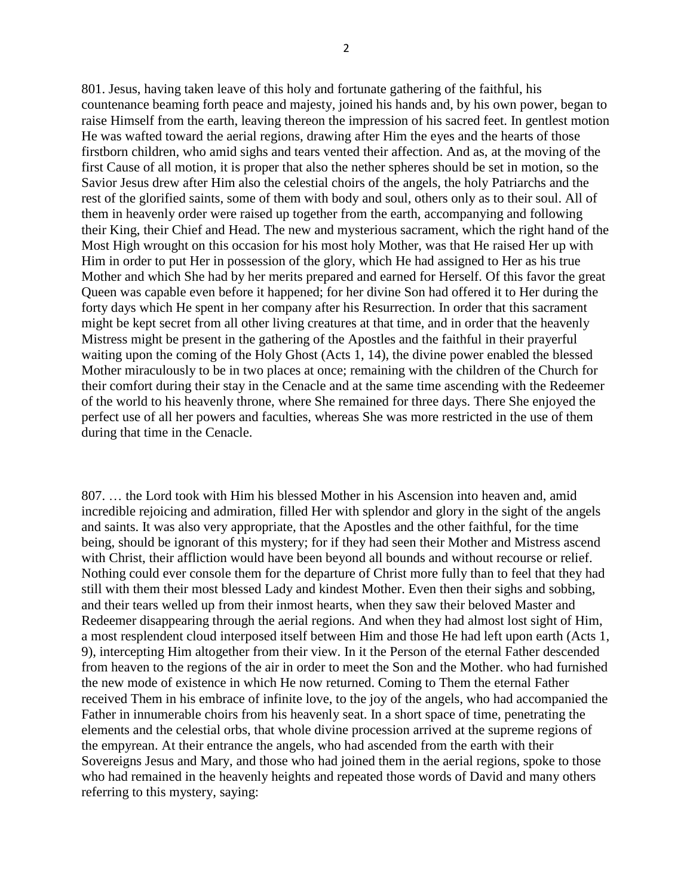801. Jesus, having taken leave of this holy and fortunate gathering of the faithful, his countenance beaming forth peace and majesty, joined his hands and, by his own power, began to raise Himself from the earth, leaving thereon the impression of his sacred feet. In gentlest motion He was wafted toward the aerial regions, drawing after Him the eyes and the hearts of those firstborn children, who amid sighs and tears vented their affection. And as, at the moving of the first Cause of all motion, it is proper that also the nether spheres should be set in motion, so the Savior Jesus drew after Him also the celestial choirs of the angels, the holy Patriarchs and the rest of the glorified saints, some of them with body and soul, others only as to their soul. All of them in heavenly order were raised up together from the earth, accompanying and following their King, their Chief and Head. The new and mysterious sacrament, which the right hand of the Most High wrought on this occasion for his most holy Mother, was that He raised Her up with Him in order to put Her in possession of the glory, which He had assigned to Her as his true Mother and which She had by her merits prepared and earned for Herself. Of this favor the great Queen was capable even before it happened; for her divine Son had offered it to Her during the forty days which He spent in her company after his Resurrection. In order that this sacrament might be kept secret from all other living creatures at that time, and in order that the heavenly Mistress might be present in the gathering of the Apostles and the faithful in their prayerful waiting upon the coming of the Holy Ghost (Acts 1, 14), the divine power enabled the blessed Mother miraculously to be in two places at once; remaining with the children of the Church for their comfort during their stay in the Cenacle and at the same time ascending with the Redeemer of the world to his heavenly throne, where She remained for three days. There She enjoyed the perfect use of all her powers and faculties, whereas She was more restricted in the use of them during that time in the Cenacle.

807. … the Lord took with Him his blessed Mother in his Ascension into heaven and, amid incredible rejoicing and admiration, filled Her with splendor and glory in the sight of the angels and saints. It was also very appropriate, that the Apostles and the other faithful, for the time being, should be ignorant of this mystery; for if they had seen their Mother and Mistress ascend with Christ, their affliction would have been beyond all bounds and without recourse or relief. Nothing could ever console them for the departure of Christ more fully than to feel that they had still with them their most blessed Lady and kindest Mother. Even then their sighs and sobbing, and their tears welled up from their inmost hearts, when they saw their beloved Master and Redeemer disappearing through the aerial regions. And when they had almost lost sight of Him, a most resplendent cloud interposed itself between Him and those He had left upon earth (Acts 1, 9), intercepting Him altogether from their view. In it the Person of the eternal Father descended from heaven to the regions of the air in order to meet the Son and the Mother. who had furnished the new mode of existence in which He now returned. Coming to Them the eternal Father received Them in his embrace of infinite love, to the joy of the angels, who had accompanied the Father in innumerable choirs from his heavenly seat. In a short space of time, penetrating the elements and the celestial orbs, that whole divine procession arrived at the supreme regions of the empyrean. At their entrance the angels, who had ascended from the earth with their Sovereigns Jesus and Mary, and those who had joined them in the aerial regions, spoke to those who had remained in the heavenly heights and repeated those words of David and many others referring to this mystery, saying: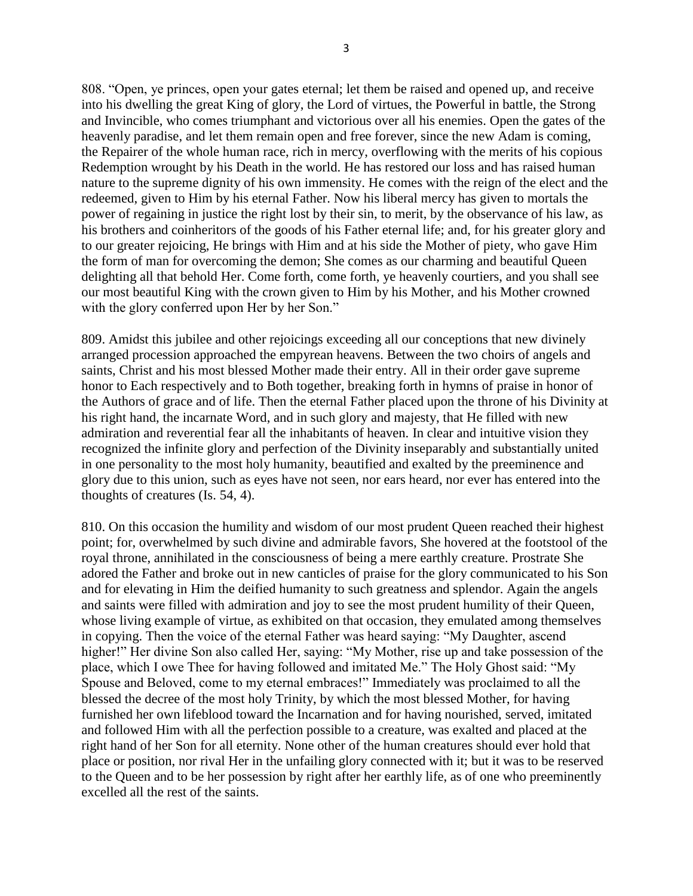808. "Open, ye princes, open your gates eternal; let them be raised and opened up, and receive into his dwelling the great King of glory, the Lord of virtues, the Powerful in battle, the Strong and Invincible, who comes triumphant and victorious over all his enemies. Open the gates of the heavenly paradise, and let them remain open and free forever, since the new Adam is coming, the Repairer of the whole human race, rich in mercy, overflowing with the merits of his copious Redemption wrought by his Death in the world. He has restored our loss and has raised human nature to the supreme dignity of his own immensity. He comes with the reign of the elect and the redeemed, given to Him by his eternal Father. Now his liberal mercy has given to mortals the power of regaining in justice the right lost by their sin, to merit, by the observance of his law, as his brothers and coinheritors of the goods of his Father eternal life; and, for his greater glory and to our greater rejoicing, He brings with Him and at his side the Mother of piety, who gave Him the form of man for overcoming the demon; She comes as our charming and beautiful Queen delighting all that behold Her. Come forth, come forth, ye heavenly courtiers, and you shall see our most beautiful King with the crown given to Him by his Mother, and his Mother crowned with the glory conferred upon Her by her Son."

809. Amidst this jubilee and other rejoicings exceeding all our conceptions that new divinely arranged procession approached the empyrean heavens. Between the two choirs of angels and saints, Christ and his most blessed Mother made their entry. All in their order gave supreme honor to Each respectively and to Both together, breaking forth in hymns of praise in honor of the Authors of grace and of life. Then the eternal Father placed upon the throne of his Divinity at his right hand, the incarnate Word, and in such glory and majesty, that He filled with new admiration and reverential fear all the inhabitants of heaven. In clear and intuitive vision they recognized the infinite glory and perfection of the Divinity inseparably and substantially united in one personality to the most holy humanity, beautified and exalted by the preeminence and glory due to this union, such as eyes have not seen, nor ears heard, nor ever has entered into the thoughts of creatures (Is. 54, 4).

810. On this occasion the humility and wisdom of our most prudent Queen reached their highest point; for, overwhelmed by such divine and admirable favors, She hovered at the footstool of the royal throne, annihilated in the consciousness of being a mere earthly creature. Prostrate She adored the Father and broke out in new canticles of praise for the glory communicated to his Son and for elevating in Him the deified humanity to such greatness and splendor. Again the angels and saints were filled with admiration and joy to see the most prudent humility of their Queen, whose living example of virtue, as exhibited on that occasion, they emulated among themselves in copying. Then the voice of the eternal Father was heard saying: "My Daughter, ascend higher!" Her divine Son also called Her, saying: "My Mother, rise up and take possession of the place, which I owe Thee for having followed and imitated Me." The Holy Ghost said: "My Spouse and Beloved, come to my eternal embraces!" Immediately was proclaimed to all the blessed the decree of the most holy Trinity, by which the most blessed Mother, for having furnished her own lifeblood toward the Incarnation and for having nourished, served, imitated and followed Him with all the perfection possible to a creature, was exalted and placed at the right hand of her Son for all eternity. None other of the human creatures should ever hold that place or position, nor rival Her in the unfailing glory connected with it; but it was to be reserved to the Queen and to be her possession by right after her earthly life, as of one who preeminently excelled all the rest of the saints.